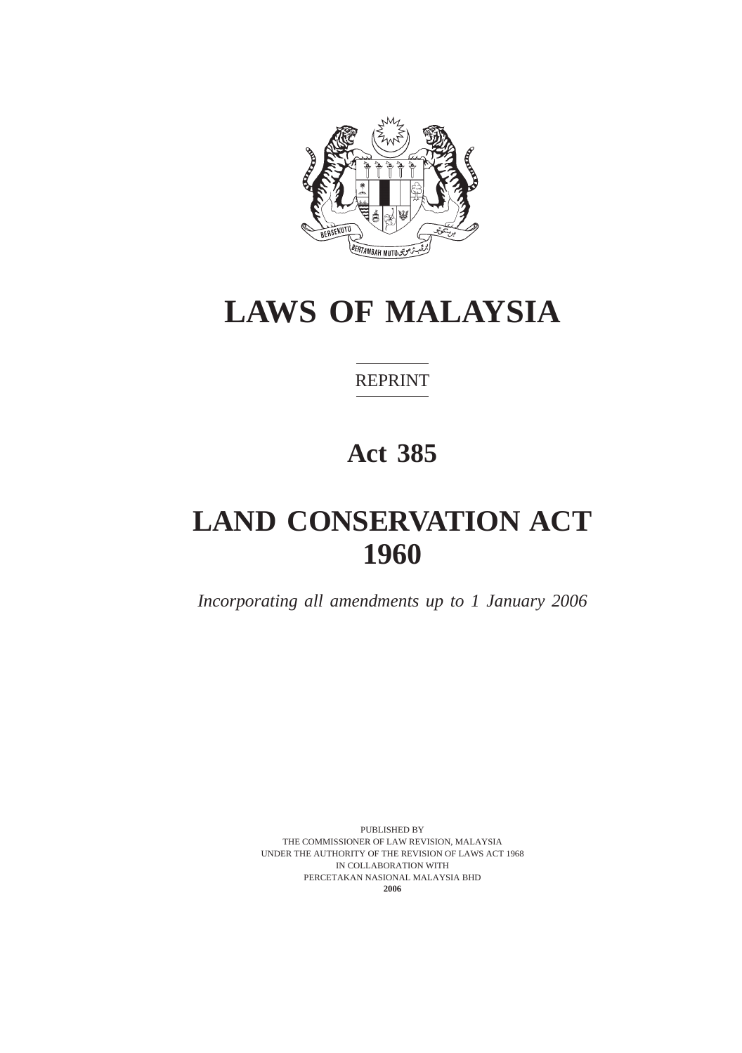

REPRINT

# **Act 385**

# **LAND CONSERVATION ACT 1960**

*Incorporating all amendments up to 1 January 2006*

PUBLISHED BY THE COMMISSIONER OF LAW REVISION, MALAYSIA UNDER THE AUTHORITY OF THE REVISION OF LAWS ACT 1968 IN COLLABORATION WITH PERCETAKAN NASIONAL MALAYSIA BHD **2006**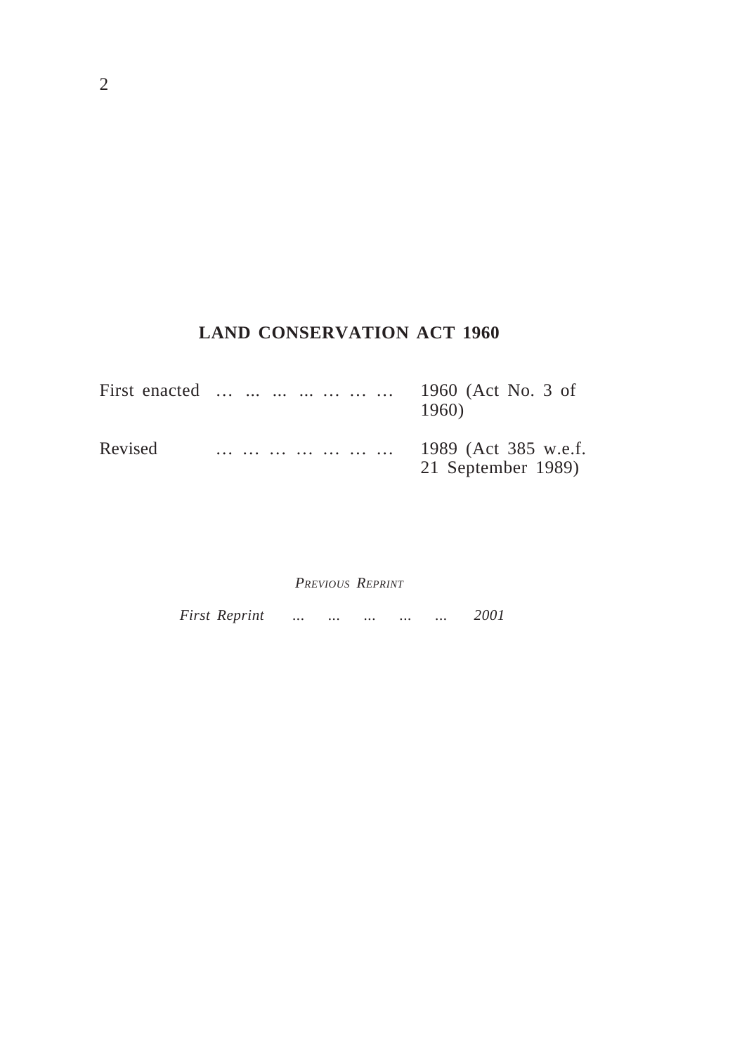# **LAND CONSERVATION ACT 1960**

|         | First enacted | 1960 (Act No. 3 of<br>1960)                |
|---------|---------------|--------------------------------------------|
| Revised |               | 1989 (Act 385 w.e.f.<br>21 September 1989) |

*PREVIOUS REPRINT*

*First Reprint ... ... ... ... ... 2001*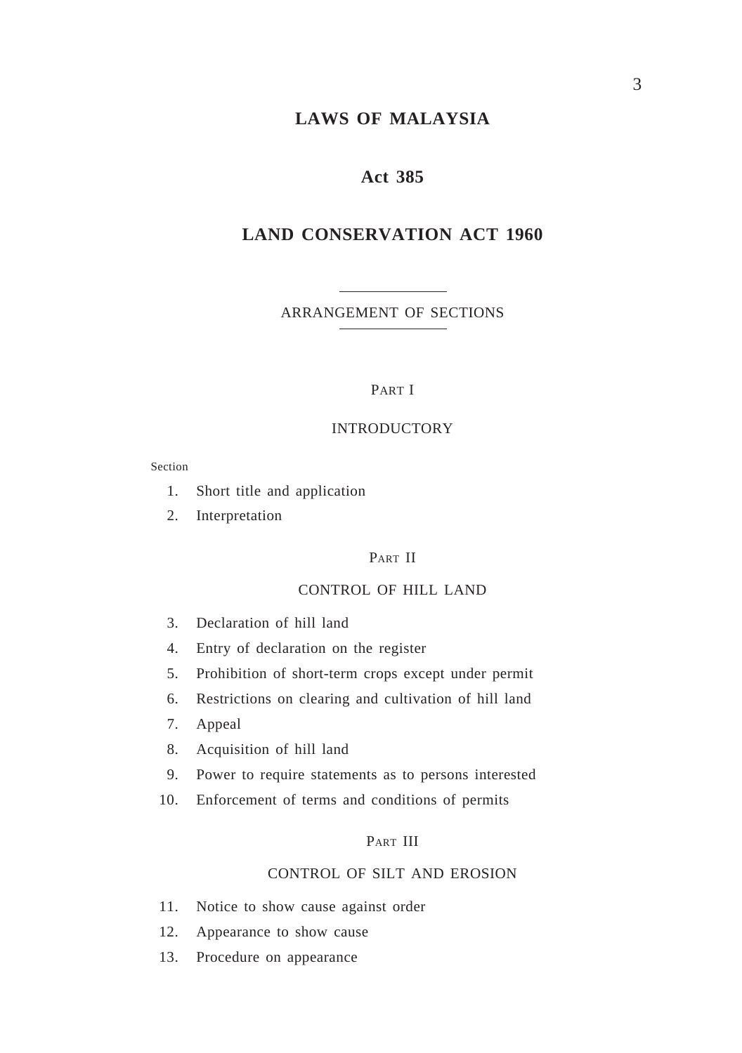#### **Act 385**

#### **LAND CONSERVATION ACT 1960**

ARRANGEMENT OF SECTIONS

#### PART I

#### INTRODUCTORY

Section

- 1. Short title and application
- 2. Interpretation

#### PART II

#### CONTROL OF HILL LAND

- 3. Declaration of hill land
- 4. Entry of declaration on the register
- 5. Prohibition of short-term crops except under permit
- 6. Restrictions on clearing and cultivation of hill land
- 7. Appeal
- 8. Acquisition of hill land
- 9. Power to require statements as to persons interested
- 10. Enforcement of terms and conditions of permits

#### PART III

#### CONTROL OF SILT AND EROSION

- 11. Notice to show cause against order
- 12. Appearance to show cause
- 13. Procedure on appearance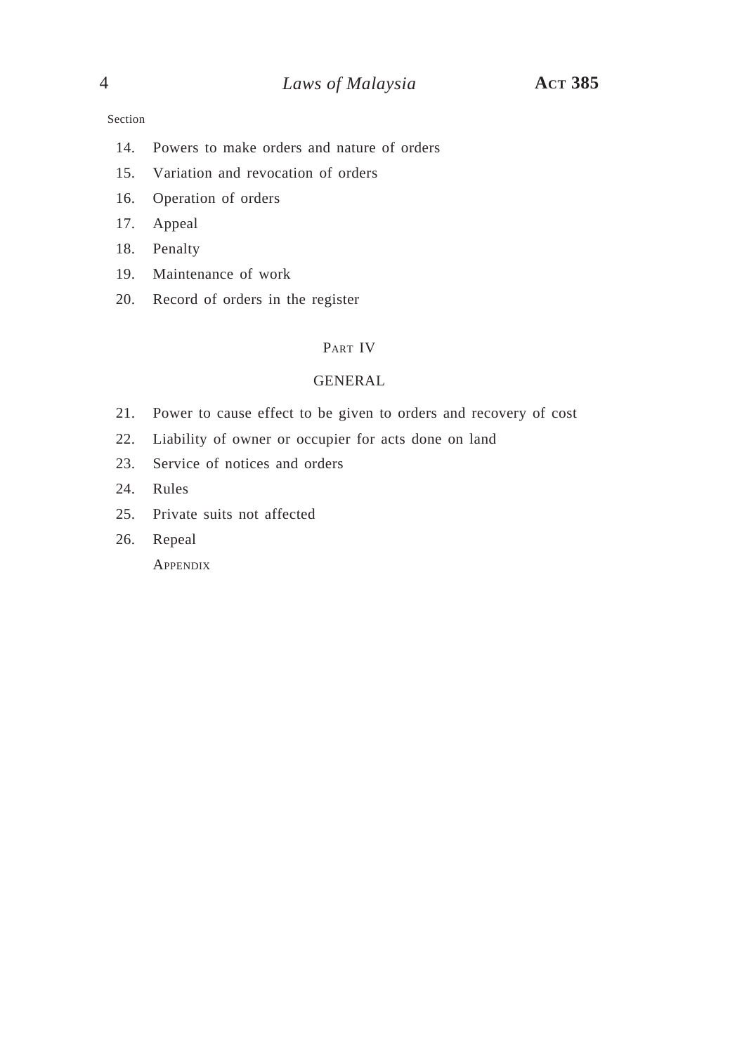#### Section

- 14. Powers to make orders and nature of orders
- 15. Variation and revocation of orders
- 16. Operation of orders
- 17. Appeal
- 18. Penalty
- 19. Maintenance of work
- 20. Record of orders in the register

### PART IV

#### GENERAL

- 21. Power to cause effect to be given to orders and recovery of cost
- 22. Liability of owner or occupier for acts done on land
- 23. Service of notices and orders
- 24. Rules
- 25. Private suits not affected
- 26. Repeal

**APPENDIX**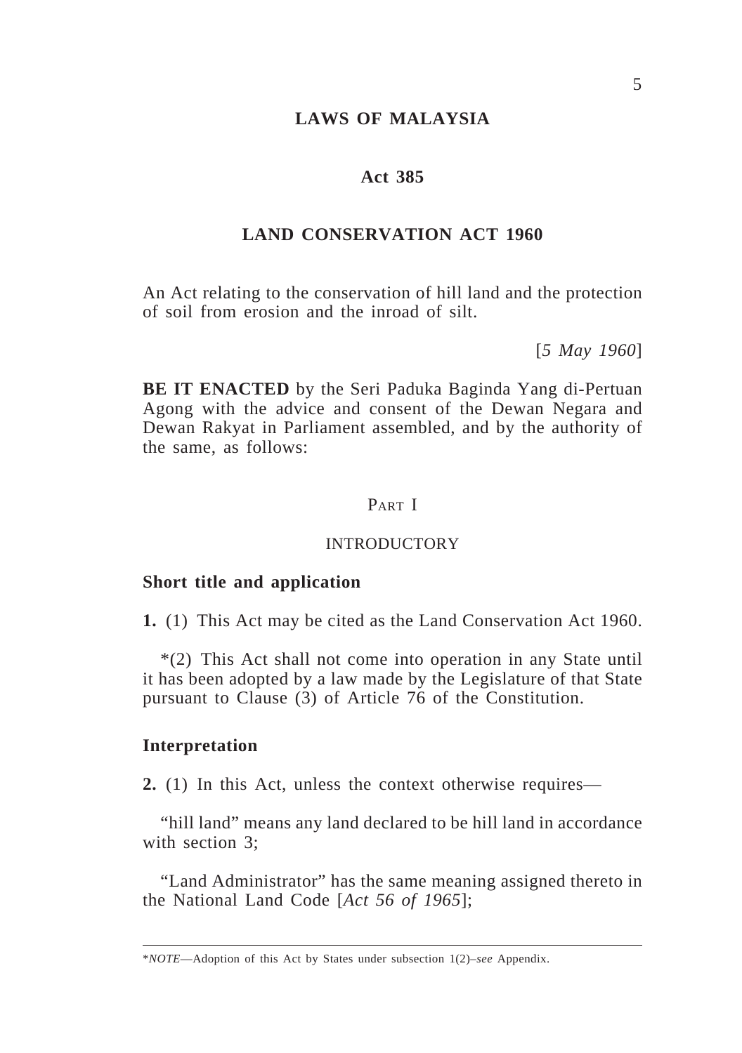#### **Act 385**

#### **LAND CONSERVATION ACT 1960**

An Act relating to the conservation of hill land and the protection of soil from erosion and the inroad of silt.

[*5 May 1960*]

**BE IT ENACTED** by the Seri Paduka Baginda Yang di-Pertuan Agong with the advice and consent of the Dewan Negara and Dewan Rakyat in Parliament assembled, and by the authority of the same, as follows:

## PART I

#### INTRODUCTORY

#### **Short title and application**

**1.** (1) This Act may be cited as the Land Conservation Act 1960.

\*(2) This Act shall not come into operation in any State until it has been adopted by a law made by the Legislature of that State pursuant to Clause (3) of Article 76 of the Constitution.

#### **Interpretation**

**2.** (1) In this Act, unless the context otherwise requires—

"hill land" means any land declared to be hill land in accordance with section 3;

"Land Administrator" has the same meaning assigned thereto in the National Land Code [*Act 56 of 1965*];

<sup>\*</sup>*NOTE*—Adoption of this Act by States under subsection 1(2)–*see* Appendix.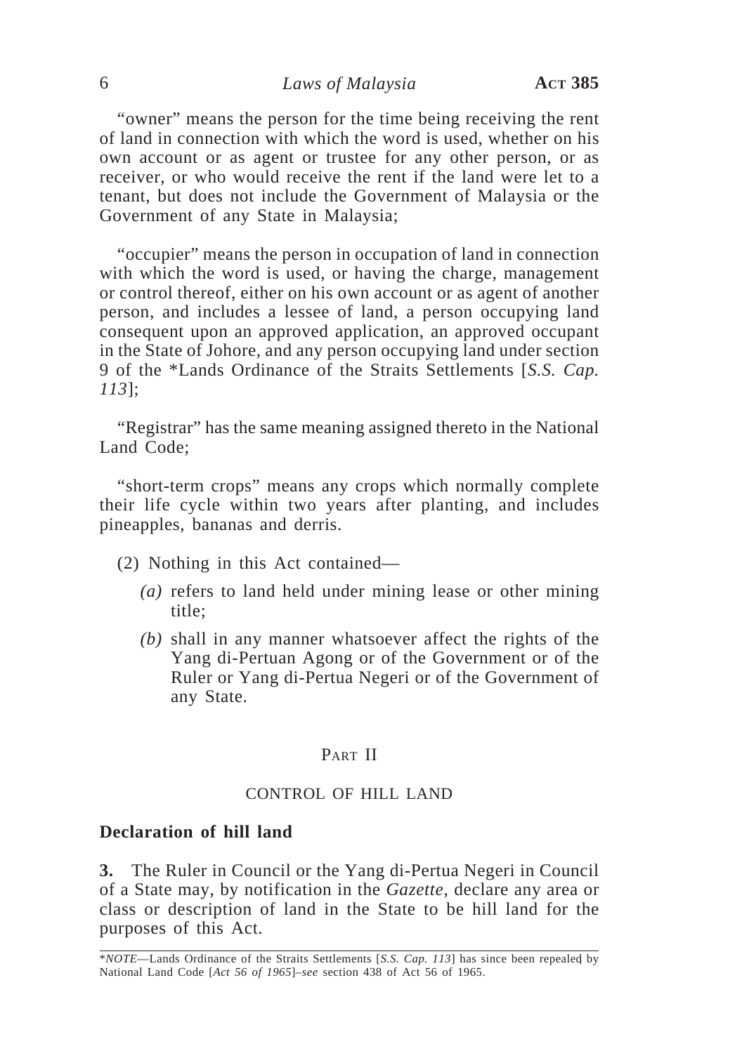"owner" means the person for the time being receiving the rent of land in connection with which the word is used, whether on his own account or as agent or trustee for any other person, or as receiver, or who would receive the rent if the land were let to a tenant, but does not include the Government of Malaysia or the Government of any State in Malaysia;

"occupier" means the person in occupation of land in connection with which the word is used, or having the charge, management or control thereof, either on his own account or as agent of another person, and includes a lessee of land, a person occupying land consequent upon an approved application, an approved occupant in the State of Johore, and any person occupying land under section 9 of the \*Lands Ordinance of the Straits Settlements [*S.S. Cap. 113*];

"Registrar" has the same meaning assigned thereto in the National Land Code;

"short-term crops" means any crops which normally complete their life cycle within two years after planting, and includes pineapples, bananas and derris.

(2) Nothing in this Act contained—

- *(a)* refers to land held under mining lease or other mining title;
- *(b)* shall in any manner whatsoever affect the rights of the Yang di-Pertuan Agong or of the Government or of the Ruler or Yang di-Pertua Negeri or of the Government of any State.

## PART II

### CONTROL OF HILL LAND

#### **Declaration of hill land**

**3.** The Ruler in Council or the Yang di-Pertua Negeri in Council of a State may, by notification in the *Gazette*, declare any area or class or description of land in the State to be hill land for the purposes of this Act.

<sup>\*</sup>*NOTE*—Lands Ordinance of the Straits Settlements [*S.S. Cap. 113*] has since been repealed by National Land Code [*Act 56 of 1965*]–*see* section 438 of Act 56 of 1965.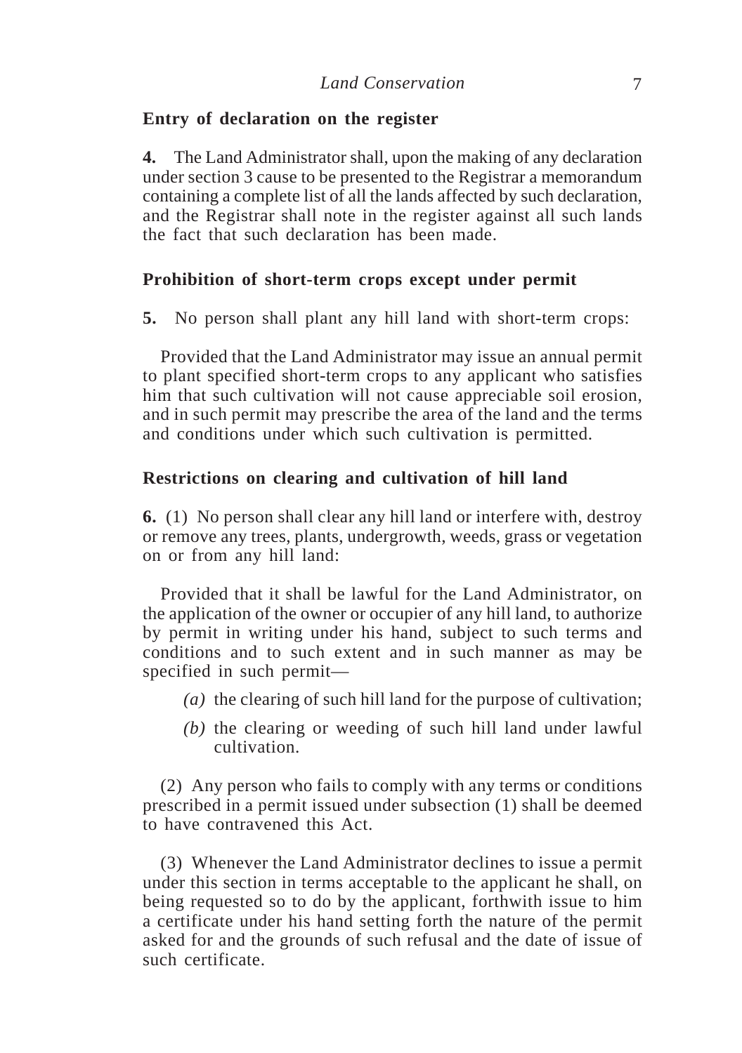### **Entry of declaration on the register**

**4.** The Land Administrator shall, upon the making of any declaration under section 3 cause to be presented to the Registrar a memorandum containing a complete list of all the lands affected by such declaration, and the Registrar shall note in the register against all such lands the fact that such declaration has been made.

#### **Prohibition of short-term crops except under permit**

**5.** No person shall plant any hill land with short-term crops:

Provided that the Land Administrator may issue an annual permit to plant specified short-term crops to any applicant who satisfies him that such cultivation will not cause appreciable soil erosion, and in such permit may prescribe the area of the land and the terms and conditions under which such cultivation is permitted.

#### **Restrictions on clearing and cultivation of hill land**

**6.** (1) No person shall clear any hill land or interfere with, destroy or remove any trees, plants, undergrowth, weeds, grass or vegetation on or from any hill land:

Provided that it shall be lawful for the Land Administrator, on the application of the owner or occupier of any hill land, to authorize by permit in writing under his hand, subject to such terms and conditions and to such extent and in such manner as may be specified in such permit—

- *(a)* the clearing of such hill land for the purpose of cultivation;
- *(b)* the clearing or weeding of such hill land under lawful cultivation.

(2) Any person who fails to comply with any terms or conditions prescribed in a permit issued under subsection (1) shall be deemed to have contravened this Act.

(3) Whenever the Land Administrator declines to issue a permit under this section in terms acceptable to the applicant he shall, on being requested so to do by the applicant, forthwith issue to him a certificate under his hand setting forth the nature of the permit asked for and the grounds of such refusal and the date of issue of such certificate.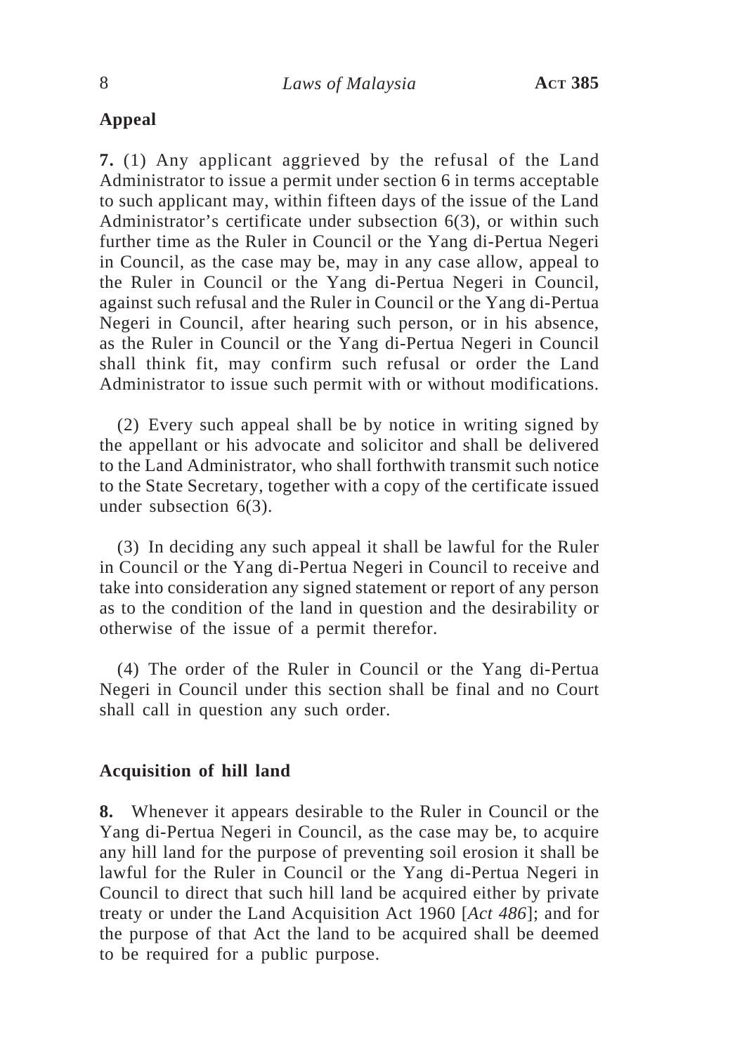# **Appeal**

**7.** (1) Any applicant aggrieved by the refusal of the Land Administrator to issue a permit under section 6 in terms acceptable to such applicant may, within fifteen days of the issue of the Land Administrator's certificate under subsection 6(3), or within such further time as the Ruler in Council or the Yang di-Pertua Negeri in Council, as the case may be, may in any case allow, appeal to the Ruler in Council or the Yang di-Pertua Negeri in Council, against such refusal and the Ruler in Council or the Yang di-Pertua Negeri in Council, after hearing such person, or in his absence, as the Ruler in Council or the Yang di-Pertua Negeri in Council shall think fit, may confirm such refusal or order the Land Administrator to issue such permit with or without modifications.

(2) Every such appeal shall be by notice in writing signed by the appellant or his advocate and solicitor and shall be delivered to the Land Administrator, who shall forthwith transmit such notice to the State Secretary, together with a copy of the certificate issued under subsection 6(3).

(3) In deciding any such appeal it shall be lawful for the Ruler in Council or the Yang di-Pertua Negeri in Council to receive and take into consideration any signed statement or report of any person as to the condition of the land in question and the desirability or otherwise of the issue of a permit therefor.

(4) The order of the Ruler in Council or the Yang di-Pertua Negeri in Council under this section shall be final and no Court shall call in question any such order.

### **Acquisition of hill land**

**8.** Whenever it appears desirable to the Ruler in Council or the Yang di-Pertua Negeri in Council, as the case may be, to acquire any hill land for the purpose of preventing soil erosion it shall be lawful for the Ruler in Council or the Yang di-Pertua Negeri in Council to direct that such hill land be acquired either by private treaty or under the Land Acquisition Act 1960 [*Act 486*]; and for the purpose of that Act the land to be acquired shall be deemed to be required for a public purpose.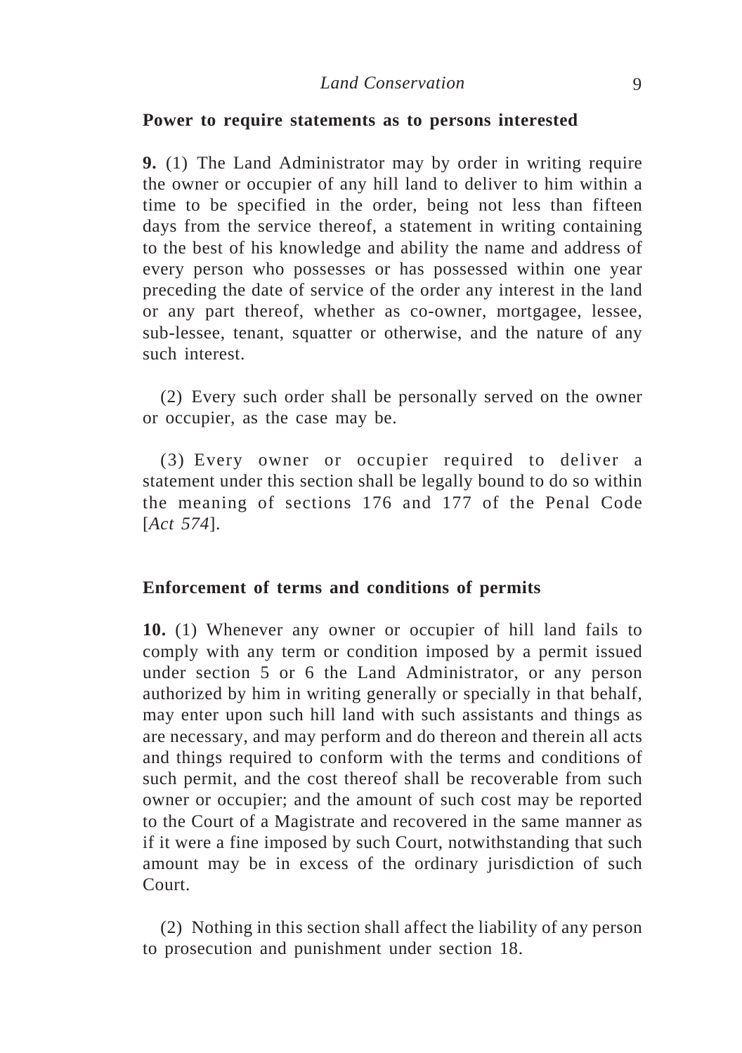#### **Power to require statements as to persons interested**

**9.** (1) The Land Administrator may by order in writing require the owner or occupier of any hill land to deliver to him within a time to be specified in the order, being not less than fifteen days from the service thereof, a statement in writing containing to the best of his knowledge and ability the name and address of every person who possesses or has possessed within one year preceding the date of service of the order any interest in the land or any part thereof, whether as co-owner, mortgagee, lessee, sub-lessee, tenant, squatter or otherwise, and the nature of any such interest.

(2) Every such order shall be personally served on the owner or occupier, as the case may be.

(3) Every owner or occupier required to deliver a statement under this section shall be legally bound to do so within the meaning of sections 176 and 177 of the Penal Code [*Act 574*].

#### **Enforcement of terms and conditions of permits**

**10.** (1) Whenever any owner or occupier of hill land fails to comply with any term or condition imposed by a permit issued under section 5 or 6 the Land Administrator, or any person authorized by him in writing generally or specially in that behalf, may enter upon such hill land with such assistants and things as are necessary, and may perform and do thereon and therein all acts and things required to conform with the terms and conditions of such permit, and the cost thereof shall be recoverable from such owner or occupier; and the amount of such cost may be reported to the Court of a Magistrate and recovered in the same manner as if it were a fine imposed by such Court, notwithstanding that such amount may be in excess of the ordinary jurisdiction of such Court.

(2) Nothing in this section shall affect the liability of any person to prosecution and punishment under section 18.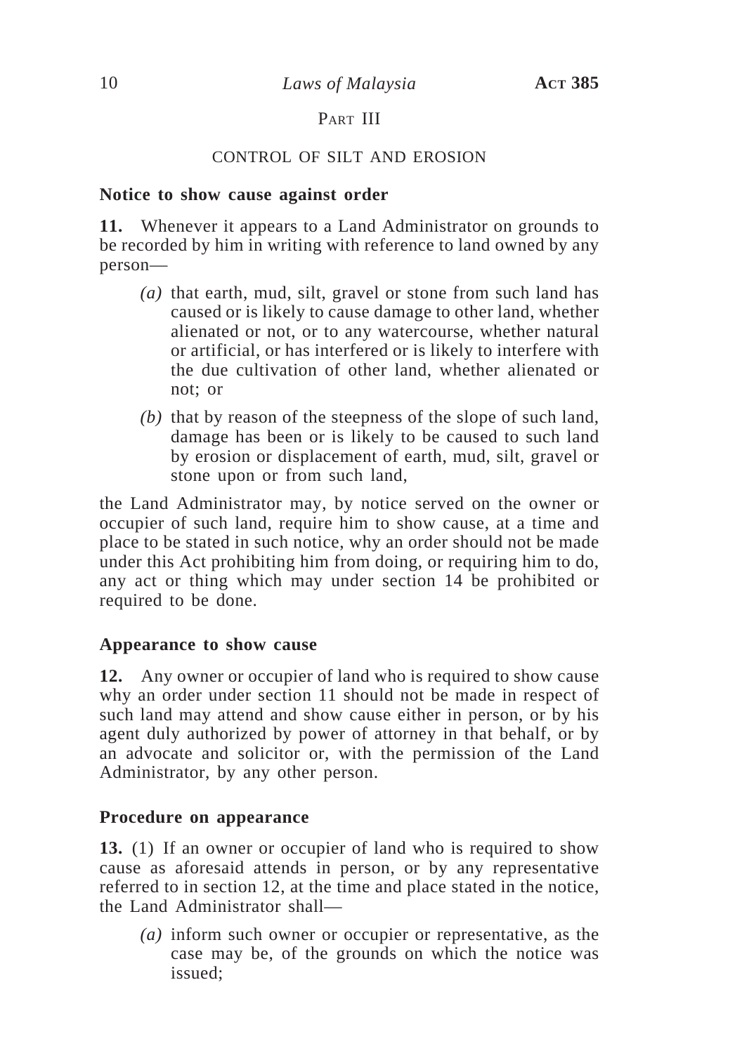# PART III

## CONTROL OF SILT AND EROSION

## **Notice to show cause against order**

**11.** Whenever it appears to a Land Administrator on grounds to be recorded by him in writing with reference to land owned by any person—

- *(a)* that earth, mud, silt, gravel or stone from such land has caused or is likely to cause damage to other land, whether alienated or not, or to any watercourse, whether natural or artificial, or has interfered or is likely to interfere with the due cultivation of other land, whether alienated or not; or
- *(b)* that by reason of the steepness of the slope of such land, damage has been or is likely to be caused to such land by erosion or displacement of earth, mud, silt, gravel or stone upon or from such land,

the Land Administrator may, by notice served on the owner or occupier of such land, require him to show cause, at a time and place to be stated in such notice, why an order should not be made under this Act prohibiting him from doing, or requiring him to do, any act or thing which may under section 14 be prohibited or required to be done.

## **Appearance to show cause**

**12.** Any owner or occupier of land who is required to show cause why an order under section 11 should not be made in respect of such land may attend and show cause either in person, or by his agent duly authorized by power of attorney in that behalf, or by an advocate and solicitor or, with the permission of the Land Administrator, by any other person.

## **Procedure on appearance**

**13.** (1) If an owner or occupier of land who is required to show cause as aforesaid attends in person, or by any representative referred to in section 12, at the time and place stated in the notice, the Land Administrator shall—

*(a)* inform such owner or occupier or representative, as the case may be, of the grounds on which the notice was issued;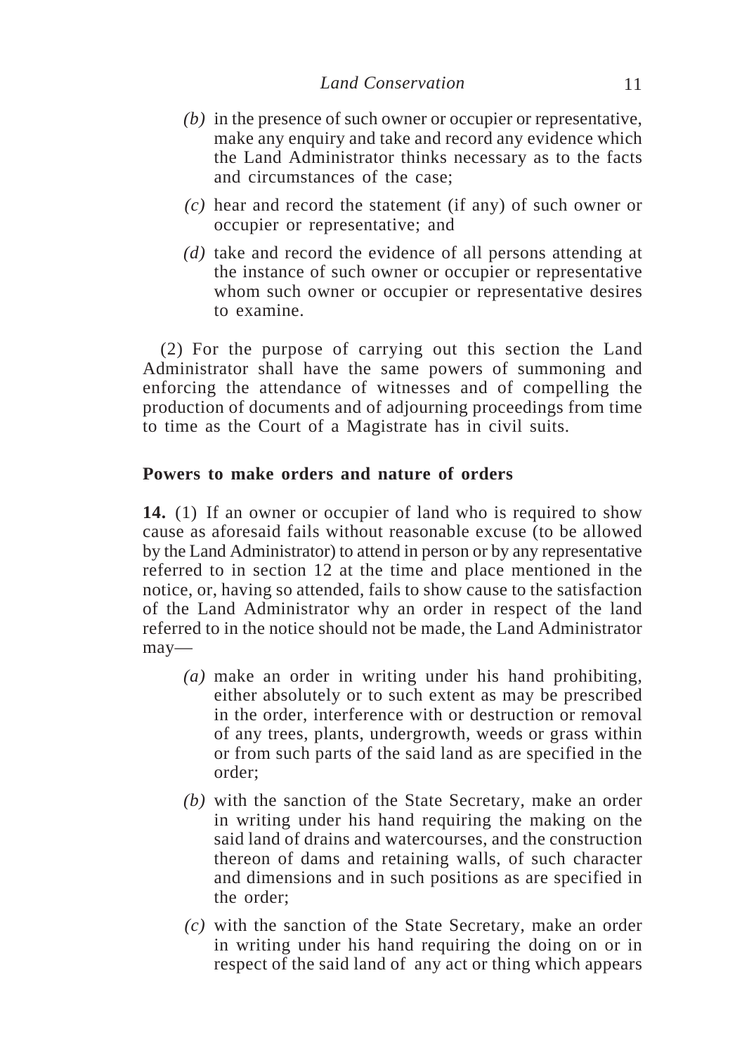- *(b)* in the presence of such owner or occupier or representative, make any enquiry and take and record any evidence which the Land Administrator thinks necessary as to the facts and circumstances of the case;
- *(c)* hear and record the statement (if any) of such owner or occupier or representative; and
- *(d)* take and record the evidence of all persons attending at the instance of such owner or occupier or representative whom such owner or occupier or representative desires to examine.

(2) For the purpose of carrying out this section the Land Administrator shall have the same powers of summoning and enforcing the attendance of witnesses and of compelling the production of documents and of adjourning proceedings from time to time as the Court of a Magistrate has in civil suits.

#### **Powers to make orders and nature of orders**

**14.** (1) If an owner or occupier of land who is required to show cause as aforesaid fails without reasonable excuse (to be allowed by the Land Administrator) to attend in person or by any representative referred to in section 12 at the time and place mentioned in the notice, or, having so attended, fails to show cause to the satisfaction of the Land Administrator why an order in respect of the land referred to in the notice should not be made, the Land Administrator may—

- *(a)* make an order in writing under his hand prohibiting, either absolutely or to such extent as may be prescribed in the order, interference with or destruction or removal of any trees, plants, undergrowth, weeds or grass within or from such parts of the said land as are specified in the order;
- *(b)* with the sanction of the State Secretary, make an order in writing under his hand requiring the making on the said land of drains and watercourses, and the construction thereon of dams and retaining walls, of such character and dimensions and in such positions as are specified in the order;
- *(c)* with the sanction of the State Secretary, make an order in writing under his hand requiring the doing on or in respect of the said land of any act or thing which appears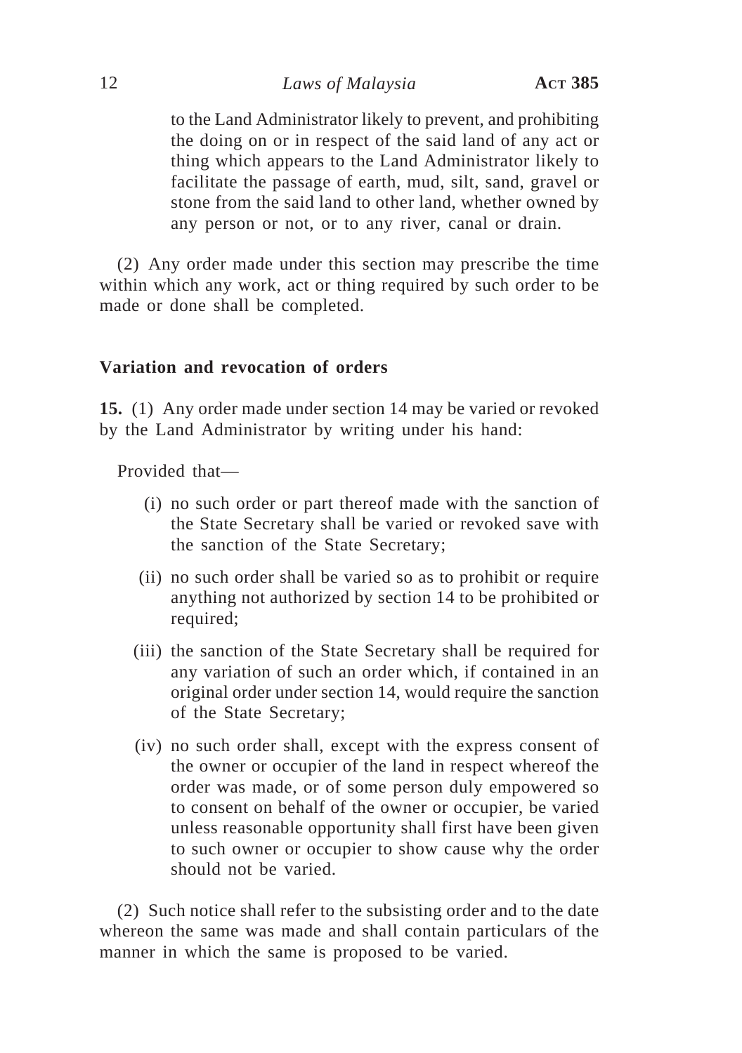to the Land Administrator likely to prevent, and prohibiting the doing on or in respect of the said land of any act or thing which appears to the Land Administrator likely to facilitate the passage of earth, mud, silt, sand, gravel or stone from the said land to other land, whether owned by any person or not, or to any river, canal or drain.

(2) Any order made under this section may prescribe the time within which any work, act or thing required by such order to be made or done shall be completed.

#### **Variation and revocation of orders**

**15.** (1) Any order made under section 14 may be varied or revoked by the Land Administrator by writing under his hand:

Provided that—

- (i) no such order or part thereof made with the sanction of the State Secretary shall be varied or revoked save with the sanction of the State Secretary;
- (ii) no such order shall be varied so as to prohibit or require anything not authorized by section 14 to be prohibited or required;
- (iii) the sanction of the State Secretary shall be required for any variation of such an order which, if contained in an original order under section 14, would require the sanction of the State Secretary;
- (iv) no such order shall, except with the express consent of the owner or occupier of the land in respect whereof the order was made, or of some person duly empowered so to consent on behalf of the owner or occupier, be varied unless reasonable opportunity shall first have been given to such owner or occupier to show cause why the order should not be varied.

(2) Such notice shall refer to the subsisting order and to the date whereon the same was made and shall contain particulars of the manner in which the same is proposed to be varied.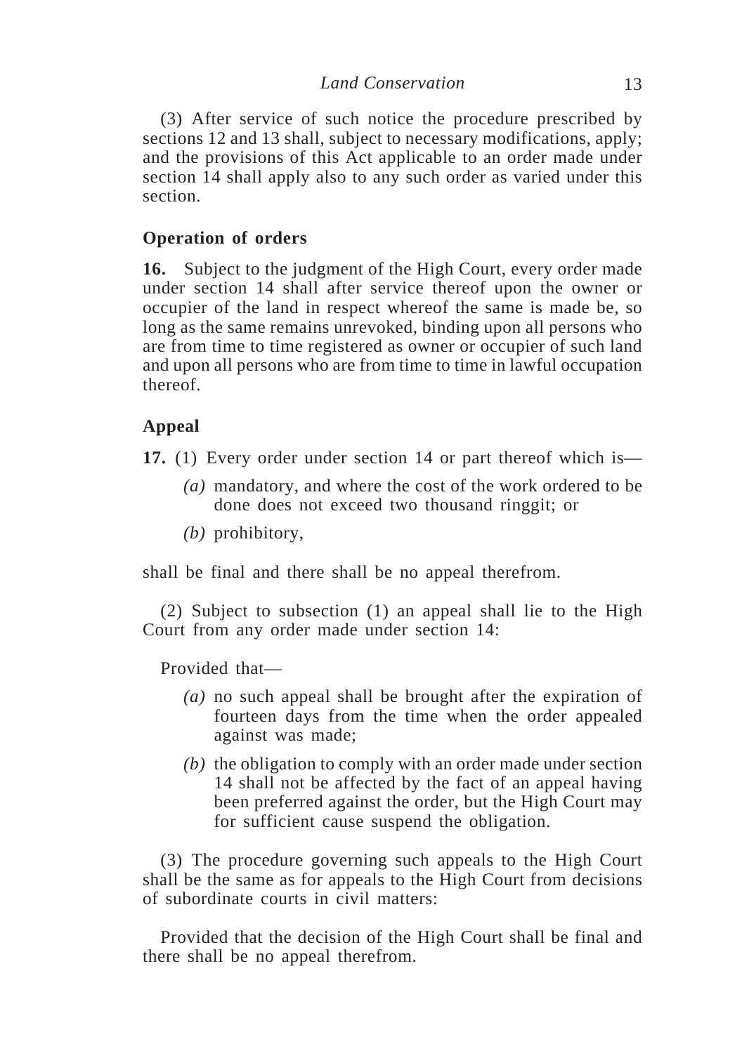(3) After service of such notice the procedure prescribed by sections 12 and 13 shall, subject to necessary modifications, apply; and the provisions of this Act applicable to an order made under section 14 shall apply also to any such order as varied under this section.

## **Operation of orders**

**16.** Subject to the judgment of the High Court, every order made under section 14 shall after service thereof upon the owner or occupier of the land in respect whereof the same is made be, so long as the same remains unrevoked, binding upon all persons who are from time to time registered as owner or occupier of such land and upon all persons who are from time to time in lawful occupation thereof.

# **Appeal**

**17.** (1) Every order under section 14 or part thereof which is—

- *(a)* mandatory, and where the cost of the work ordered to be done does not exceed two thousand ringgit; or
- *(b)* prohibitory,

shall be final and there shall be no appeal therefrom.

(2) Subject to subsection (1) an appeal shall lie to the High Court from any order made under section 14:

Provided that—

- *(a)* no such appeal shall be brought after the expiration of fourteen days from the time when the order appealed against was made;
- *(b)* the obligation to comply with an order made under section 14 shall not be affected by the fact of an appeal having been preferred against the order, but the High Court may for sufficient cause suspend the obligation.

(3) The procedure governing such appeals to the High Court shall be the same as for appeals to the High Court from decisions of subordinate courts in civil matters:

Provided that the decision of the High Court shall be final and there shall be no appeal therefrom.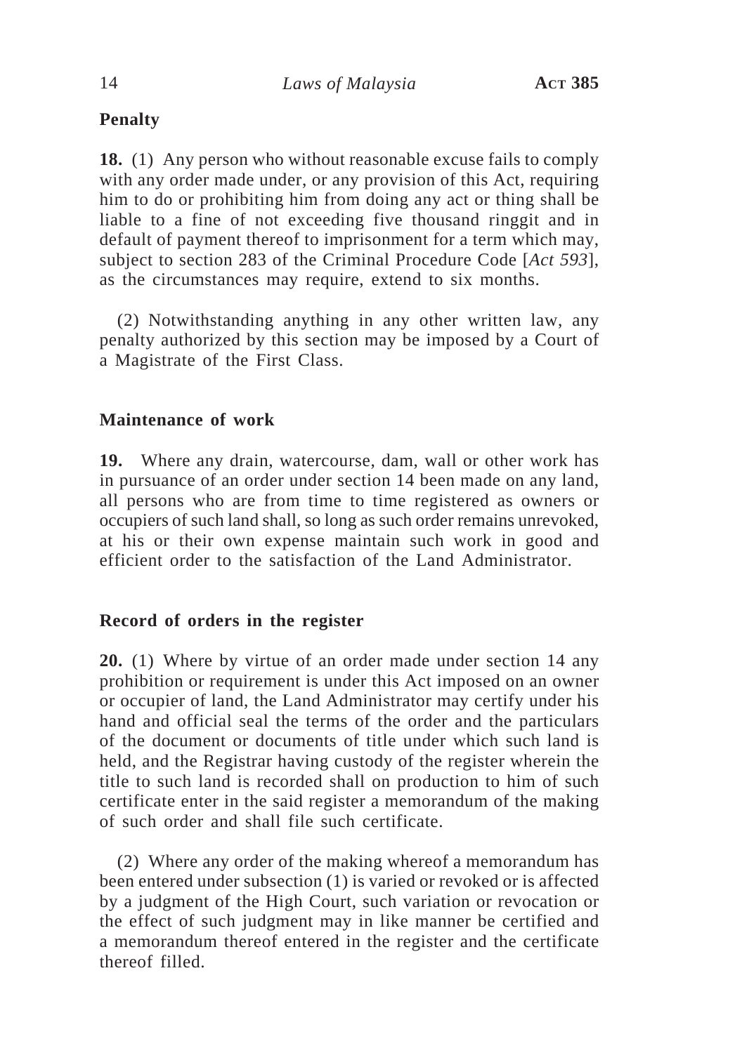# **Penalty**

**18.** (1) Any person who without reasonable excuse fails to comply with any order made under, or any provision of this Act, requiring him to do or prohibiting him from doing any act or thing shall be liable to a fine of not exceeding five thousand ringgit and in default of payment thereof to imprisonment for a term which may, subject to section 283 of the Criminal Procedure Code [*Act 593*], as the circumstances may require, extend to six months.

(2) Notwithstanding anything in any other written law, any penalty authorized by this section may be imposed by a Court of a Magistrate of the First Class.

## **Maintenance of work**

**19.** Where any drain, watercourse, dam, wall or other work has in pursuance of an order under section 14 been made on any land, all persons who are from time to time registered as owners or occupiers of such land shall, so long as such order remains unrevoked, at his or their own expense maintain such work in good and efficient order to the satisfaction of the Land Administrator.

## **Record of orders in the register**

**20.** (1) Where by virtue of an order made under section 14 any prohibition or requirement is under this Act imposed on an owner or occupier of land, the Land Administrator may certify under his hand and official seal the terms of the order and the particulars of the document or documents of title under which such land is held, and the Registrar having custody of the register wherein the title to such land is recorded shall on production to him of such certificate enter in the said register a memorandum of the making of such order and shall file such certificate.

(2) Where any order of the making whereof a memorandum has been entered under subsection (1) is varied or revoked or is affected by a judgment of the High Court, such variation or revocation or the effect of such judgment may in like manner be certified and a memorandum thereof entered in the register and the certificate thereof filled.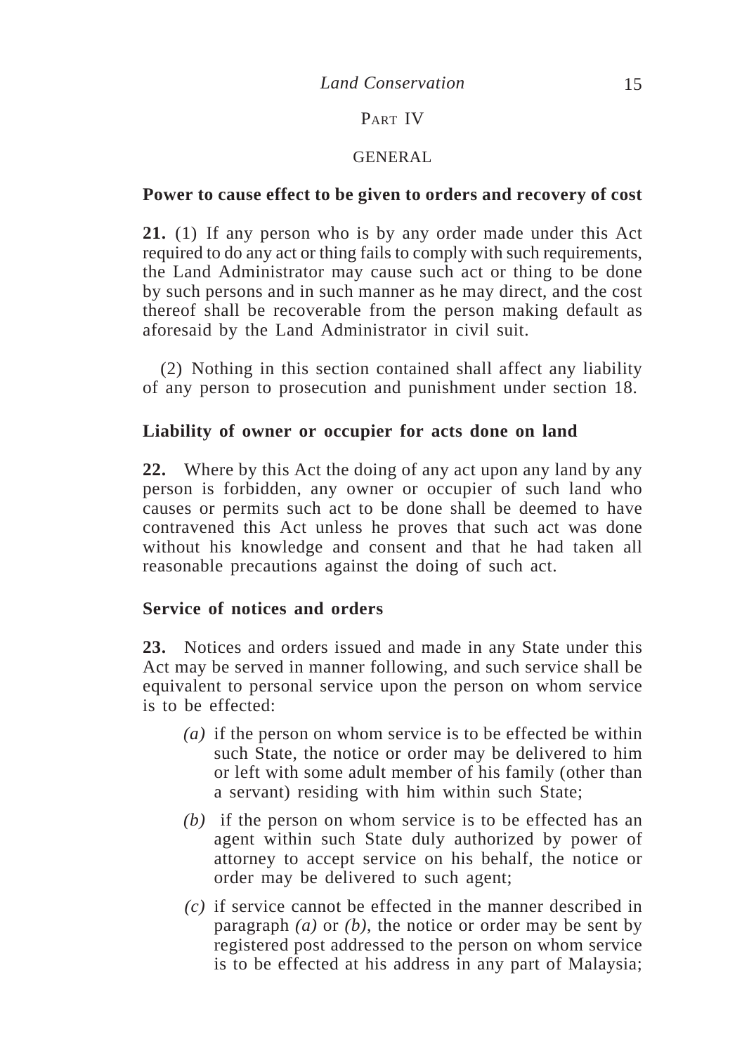## PART IV

### GENERAL

## **Power to cause effect to be given to orders and recovery of cost**

**21.** (1) If any person who is by any order made under this Act required to do any act or thing fails to comply with such requirements, the Land Administrator may cause such act or thing to be done by such persons and in such manner as he may direct, and the cost thereof shall be recoverable from the person making default as aforesaid by the Land Administrator in civil suit.

(2) Nothing in this section contained shall affect any liability of any person to prosecution and punishment under section 18.

## **Liability of owner or occupier for acts done on land**

**22.** Where by this Act the doing of any act upon any land by any person is forbidden, any owner or occupier of such land who causes or permits such act to be done shall be deemed to have contravened this Act unless he proves that such act was done without his knowledge and consent and that he had taken all reasonable precautions against the doing of such act.

## **Service of notices and orders**

**23.** Notices and orders issued and made in any State under this Act may be served in manner following, and such service shall be equivalent to personal service upon the person on whom service is to be effected:

- *(a)* if the person on whom service is to be effected be within such State, the notice or order may be delivered to him or left with some adult member of his family (other than a servant) residing with him within such State;
- *(b)* if the person on whom service is to be effected has an agent within such State duly authorized by power of attorney to accept service on his behalf, the notice or order may be delivered to such agent;
- *(c)* if service cannot be effected in the manner described in paragraph *(a)* or *(b)*, the notice or order may be sent by registered post addressed to the person on whom service is to be effected at his address in any part of Malaysia;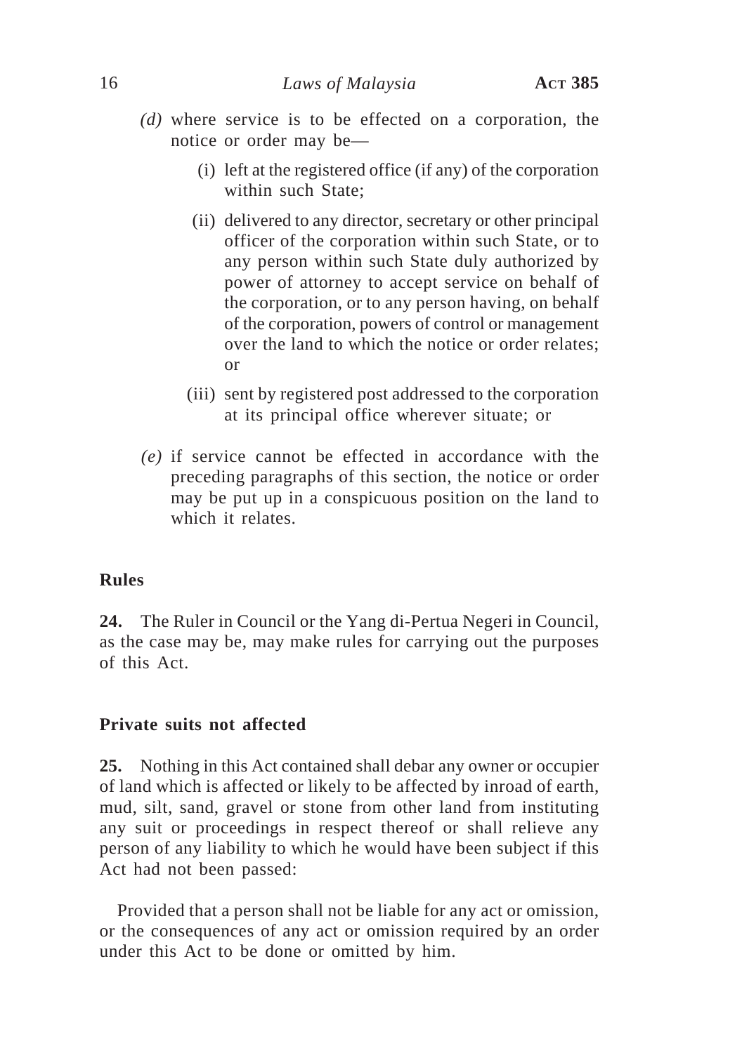- *(d)* where service is to be effected on a corporation, the notice or order may be—
	- (i) left at the registered office (if any) of the corporation within such State;
	- (ii) delivered to any director, secretary or other principal officer of the corporation within such State, or to any person within such State duly authorized by power of attorney to accept service on behalf of the corporation, or to any person having, on behalf of the corporation, powers of control or management over the land to which the notice or order relates; or
	- (iii) sent by registered post addressed to the corporation at its principal office wherever situate; or
- *(e)* if service cannot be effected in accordance with the preceding paragraphs of this section, the notice or order may be put up in a conspicuous position on the land to which it relates.

## **Rules**

**24.** The Ruler in Council or the Yang di-Pertua Negeri in Council, as the case may be, may make rules for carrying out the purposes of this Act.

### **Private suits not affected**

**25.** Nothing in this Act contained shall debar any owner or occupier of land which is affected or likely to be affected by inroad of earth, mud, silt, sand, gravel or stone from other land from instituting any suit or proceedings in respect thereof or shall relieve any person of any liability to which he would have been subject if this Act had not been passed:

Provided that a person shall not be liable for any act or omission, or the consequences of any act or omission required by an order under this Act to be done or omitted by him.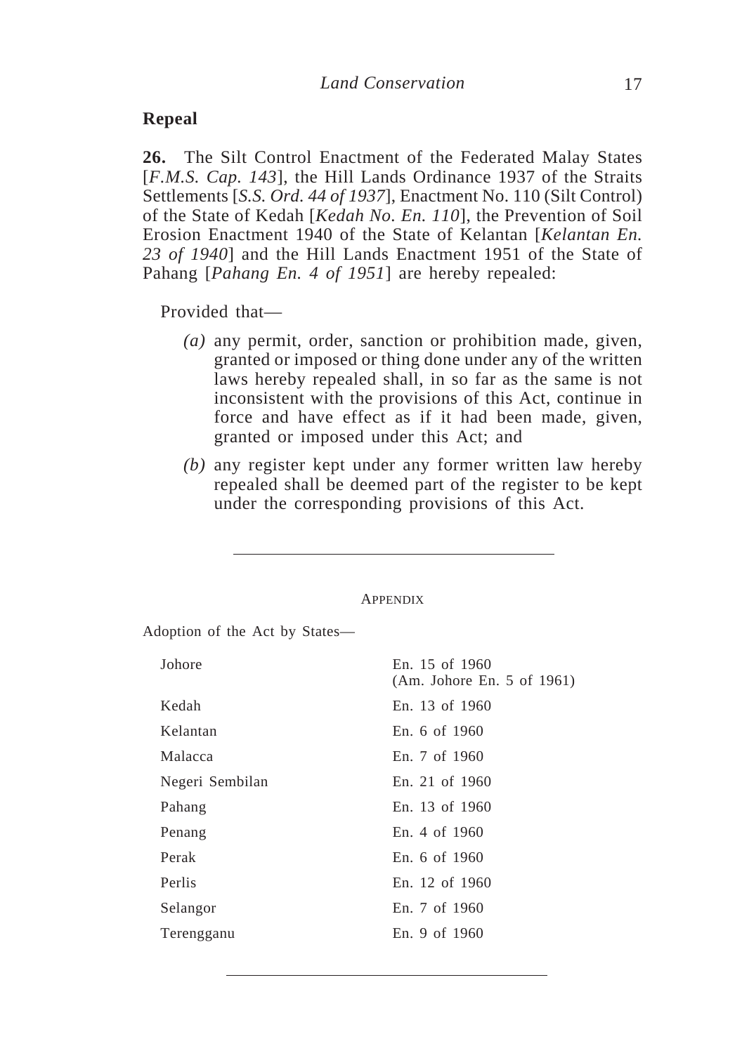#### **Repeal**

**26.** The Silt Control Enactment of the Federated Malay States [*F.M.S. Cap. 143*], the Hill Lands Ordinance 1937 of the Straits Settlements [*S.S. Ord. 44 of 1937*], Enactment No. 110 (Silt Control) of the State of Kedah [*Kedah No. En. 110*], the Prevention of Soil Erosion Enactment 1940 of the State of Kelantan [*Kelantan En. 23 of 1940*] and the Hill Lands Enactment 1951 of the State of Pahang [*Pahang En. 4 of 1951*] are hereby repealed:

Provided that—

- *(a)* any permit, order, sanction or prohibition made, given, granted or imposed or thing done under any of the written laws hereby repealed shall, in so far as the same is not inconsistent with the provisions of this Act, continue in force and have effect as if it had been made, given, granted or imposed under this Act; and
- *(b)* any register kept under any former written law hereby repealed shall be deemed part of the register to be kept under the corresponding provisions of this Act.

#### APPENDIX

Adoption of the Act by States—

| Johore          | En. 15 of 1960<br>(Am. Johore En. 5 of 1961) |
|-----------------|----------------------------------------------|
| Kedah           | En. 13 of 1960                               |
| Kelantan        | En. 6 of 1960                                |
| Malacca         | En. 7 of 1960                                |
| Negeri Sembilan | En. 21 of 1960                               |
| Pahang          | En. 13 of 1960                               |
| Penang          | En. 4 of 1960                                |
| Perak           | En. 6 of 1960                                |
| Perlis          | En. 12 of 1960                               |
| Selangor        | En. 7 of 1960                                |
| Terengganu      | En. 9 of 1960                                |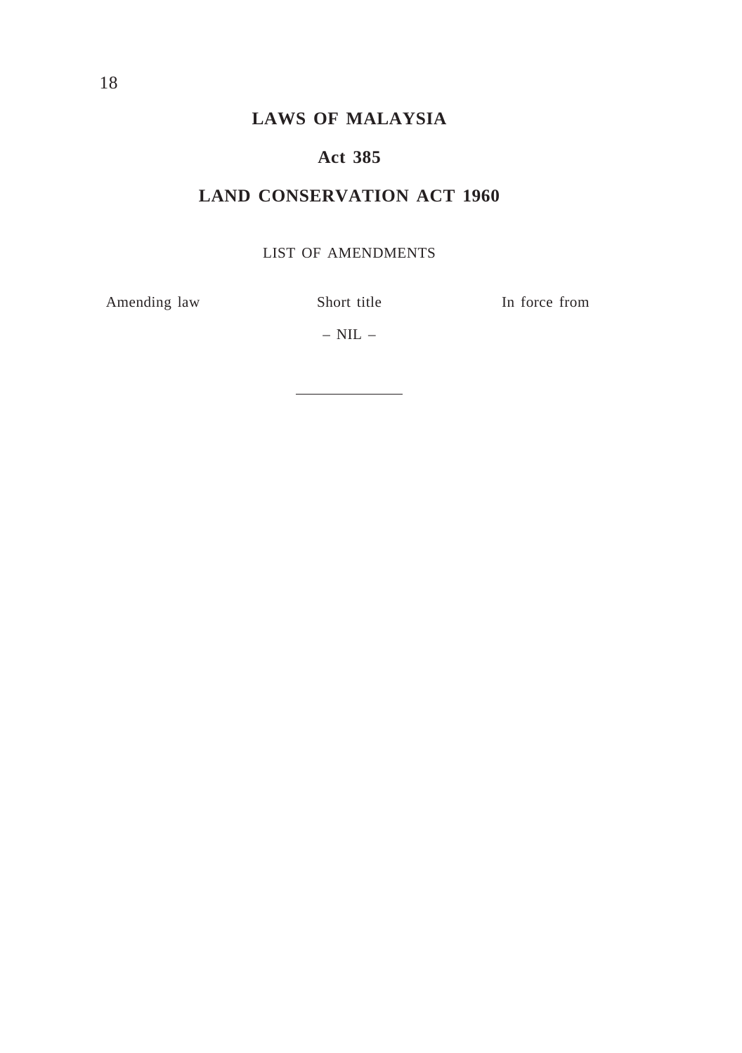# **Act 385**

# **LAND CONSERVATION ACT 1960**

## LIST OF AMENDMENTS

Amending law Short title In force from

–  $NIL$  –